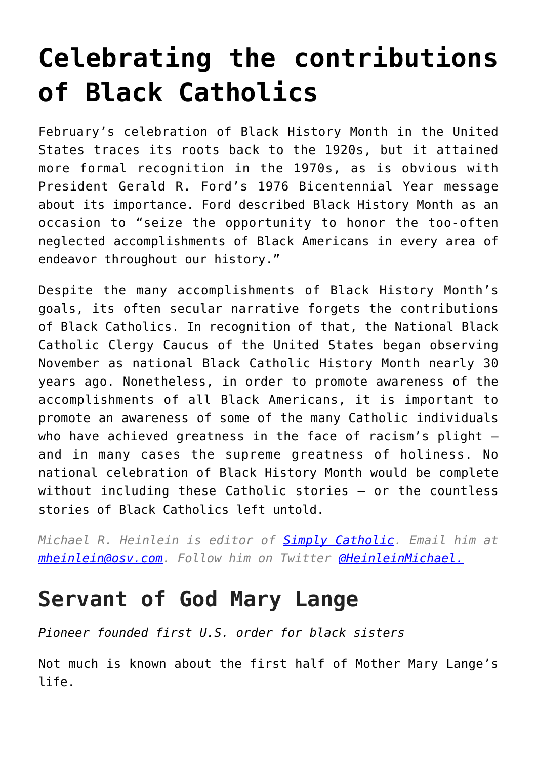# **[Celebrating the contributions](https://www.osvnews.com/amp/2017/02/02/celebrating-the-contributions-of-black-catholics/) [of Black Catholics](https://www.osvnews.com/amp/2017/02/02/celebrating-the-contributions-of-black-catholics/)**

February's celebration of Black History Month in the United States traces its roots back to the 1920s, but it attained more formal recognition in the 1970s, as is obvious with President Gerald R. Ford's 1976 Bicentennial Year message about its importance. Ford described Black History Month as an occasion to "seize the opportunity to honor the too-often neglected accomplishments of Black Americans in every area of endeavor throughout our history."

Despite the many accomplishments of Black History Month's goals, its often secular narrative forgets the contributions of Black Catholics. In recognition of that, the National Black Catholic Clergy Caucus of the United States began observing November as national Black Catholic History Month nearly 30 years ago. Nonetheless, in order to promote awareness of the accomplishments of all Black Americans, it is important to promote an awareness of some of the many Catholic individuals who have achieved greatness in the face of racism's plight and in many cases the supreme greatness of holiness. No national celebration of Black History Month would be complete without including these Catholic stories — or the countless stories of Black Catholics left untold.

*Michael R. Heinlein is editor of [Simply Catholic](http://www.simplycatholic.com). Email him at [mheinlein@osv.com.](mailto:mheinlein@osv.com) Follow him on Twitter [@HeinleinMichael.](http://www.twitter.com/@HeinleinMichael)*

### **Servant of God Mary Lange**

*Pioneer founded first U.S. order for black sisters*

Not much is known about the first half of Mother Mary Lange's life.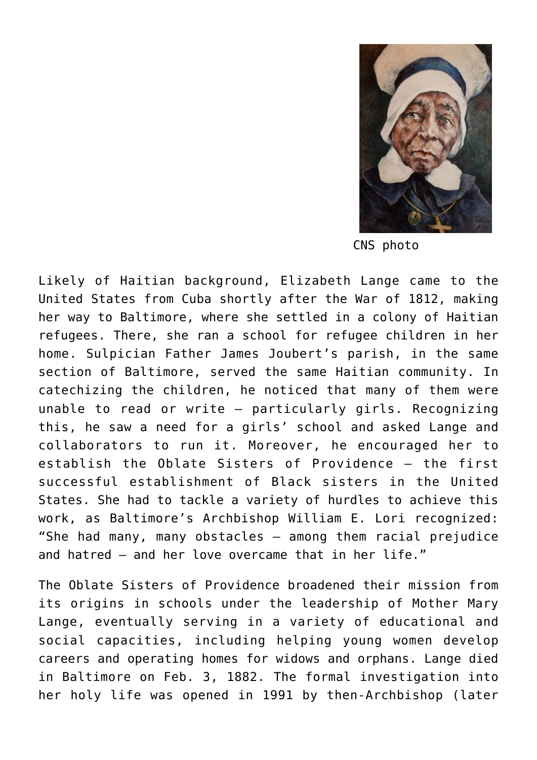

CNS photo

Likely of Haitian background, Elizabeth Lange came to the United States from Cuba shortly after the War of 1812, making her way to Baltimore, where she settled in a colony of Haitian refugees. There, she ran a school for refugee children in her home. Sulpician Father James Joubert's parish, in the same section of Baltimore, served the same Haitian community. In catechizing the children, he noticed that many of them were unable to read or write — particularly girls. Recognizing this, he saw a need for a girls' school and asked Lange and collaborators to run it. Moreover, he encouraged her to establish the Oblate Sisters of Providence — the first successful establishment of Black sisters in the United States. She had to tackle a variety of hurdles to achieve this work, as Baltimore's Archbishop William E. Lori recognized: "She had many, many obstacles — among them racial prejudice and hatred — and her love overcame that in her life."

The Oblate Sisters of Providence broadened their mission from its origins in schools under the leadership of Mother Mary Lange, eventually serving in a variety of educational and social capacities, including helping young women develop careers and operating homes for widows and orphans. Lange died in Baltimore on Feb. 3, 1882. The formal investigation into her holy life was opened in 1991 by then-Archbishop (later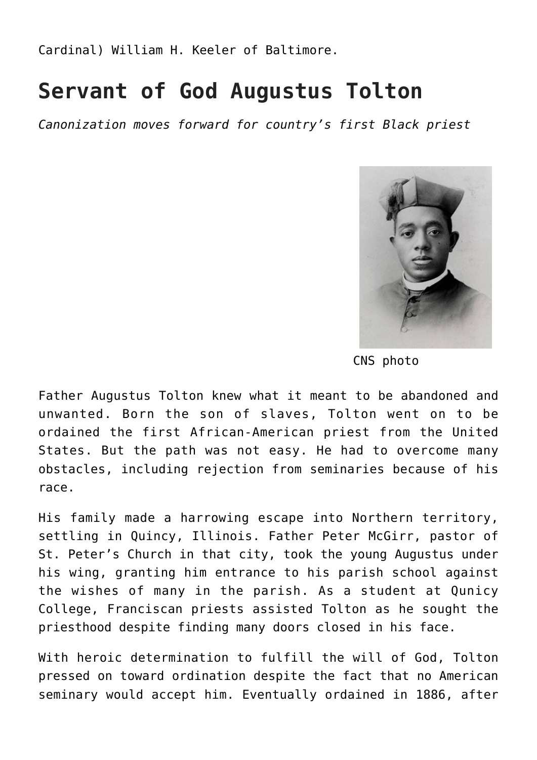Cardinal) William H. Keeler of Baltimore.

#### **Servant of God Augustus Tolton**

*Canonization moves forward for country's first Black priest*



CNS photo

Father Augustus Tolton knew what it meant to be abandoned and unwanted. Born the son of slaves, Tolton went on to be ordained the first African-American priest from the United States. But the path was not easy. He had to overcome many obstacles, including rejection from seminaries because of his race.

His family made a harrowing escape into Northern territory, settling in Quincy, Illinois. Father Peter McGirr, pastor of St. Peter's Church in that city, took the young Augustus under his wing, granting him entrance to his parish school against the wishes of many in the parish. As a student at Qunicy College, Franciscan priests assisted Tolton as he sought the priesthood despite finding many doors closed in his face.

With heroic determination to fulfill the will of God, Tolton pressed on toward ordination despite the fact that no American seminary would accept him. Eventually ordained in 1886, after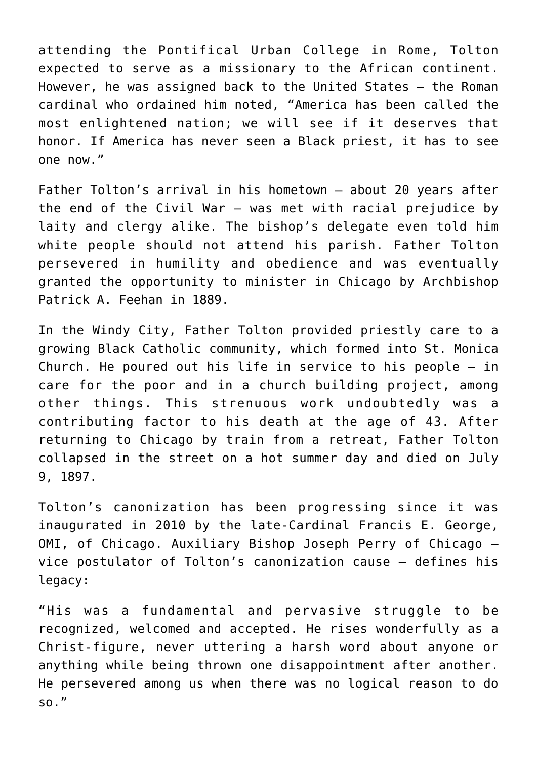attending the Pontifical Urban College in Rome, Tolton expected to serve as a missionary to the African continent. However, he was assigned back to the United States — the Roman cardinal who ordained him noted, "America has been called the most enlightened nation; we will see if it deserves that honor. If America has never seen a Black priest, it has to see one now."

Father Tolton's arrival in his hometown — about 20 years after the end of the Civil War — was met with racial prejudice by laity and clergy alike. The bishop's delegate even told him white people should not attend his parish. Father Tolton persevered in humility and obedience and was eventually granted the opportunity to minister in Chicago by Archbishop Patrick A. Feehan in 1889.

In the Windy City, Father Tolton provided priestly care to a growing Black Catholic community, which formed into St. Monica Church. He poured out his life in service to his people — in care for the poor and in a church building project, among other things. This strenuous work undoubtedly was a contributing factor to his death at the age of 43. After returning to Chicago by train from a retreat, Father Tolton collapsed in the street on a hot summer day and died on July 9, 1897.

Tolton's canonization has been progressing since it was inaugurated in 2010 by the late-Cardinal Francis E. George, OMI, of Chicago. Auxiliary Bishop Joseph Perry of Chicago vice postulator of Tolton's canonization cause — defines his legacy:

"His was a fundamental and pervasive struggle to be recognized, welcomed and accepted. He rises wonderfully as a Christ-figure, never uttering a harsh word about anyone or anything while being thrown one disappointment after another. He persevered among us when there was no logical reason to do so."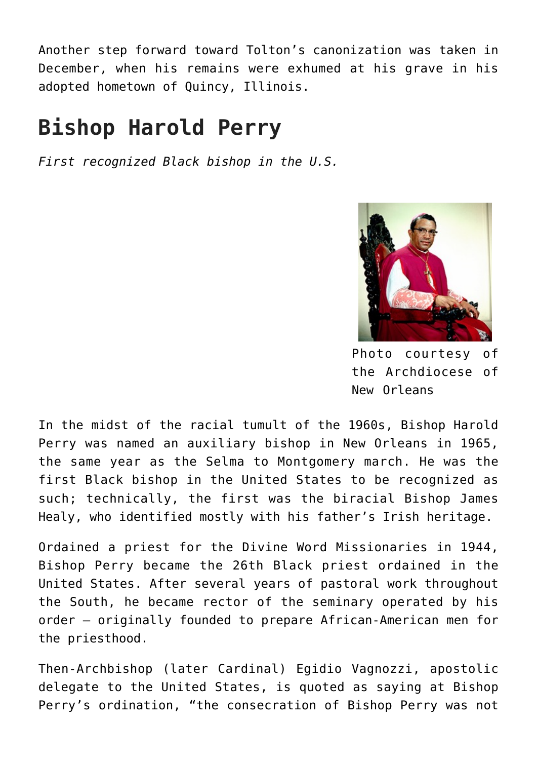Another step forward toward Tolton's canonization was taken in December, when his remains were exhumed at his grave in his adopted hometown of Quincy, Illinois.

### **Bishop Harold Perry**

*First recognized Black bishop in the U.S.*



Photo courtesy of the Archdiocese of New Orleans

In the midst of the racial tumult of the 1960s, Bishop Harold Perry was named an auxiliary bishop in New Orleans in 1965, the same year as the Selma to Montgomery march. He was the first Black bishop in the United States to be recognized as such; technically, the first was the biracial Bishop James Healy, who identified mostly with his father's Irish heritage.

Ordained a priest for the Divine Word Missionaries in 1944, Bishop Perry became the 26th Black priest ordained in the United States. After several years of pastoral work throughout the South, he became rector of the seminary operated by his order — originally founded to prepare African-American men for the priesthood.

Then-Archbishop (later Cardinal) Egidio Vagnozzi, apostolic delegate to the United States, is quoted as saying at Bishop Perry's ordination, "the consecration of Bishop Perry was not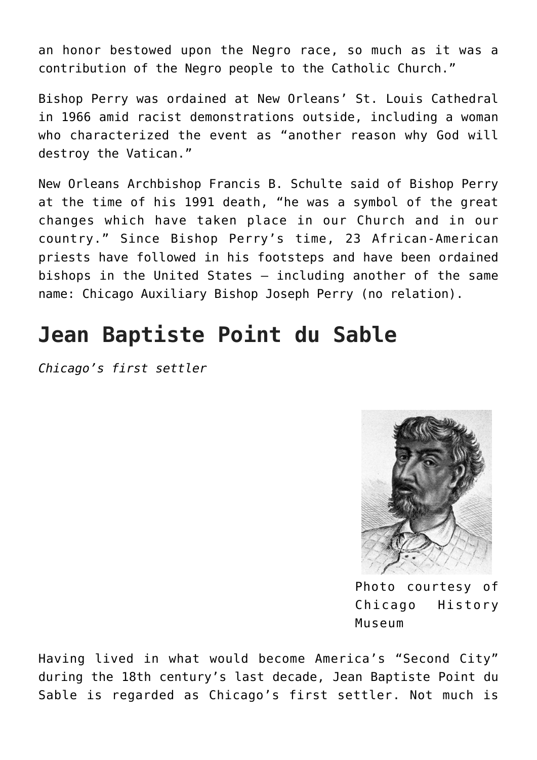an honor bestowed upon the Negro race, so much as it was a contribution of the Negro people to the Catholic Church."

Bishop Perry was ordained at New Orleans' St. Louis Cathedral in 1966 amid racist demonstrations outside, including a woman who characterized the event as "another reason why God will destroy the Vatican."

New Orleans Archbishop Francis B. Schulte said of Bishop Perry at the time of his 1991 death, "he was a symbol of the great changes which have taken place in our Church and in our country." Since Bishop Perry's time, 23 African-American priests have followed in his footsteps and have been ordained bishops in the United States — including another of the same name: Chicago Auxiliary Bishop Joseph Perry (no relation).

## **Jean Baptiste Point du Sable**

*Chicago's first settler*



Photo courtesy of Chicago History Museum

Having lived in what would become America's "Second City" during the 18th century's last decade, Jean Baptiste Point du Sable is regarded as Chicago's first settler. Not much is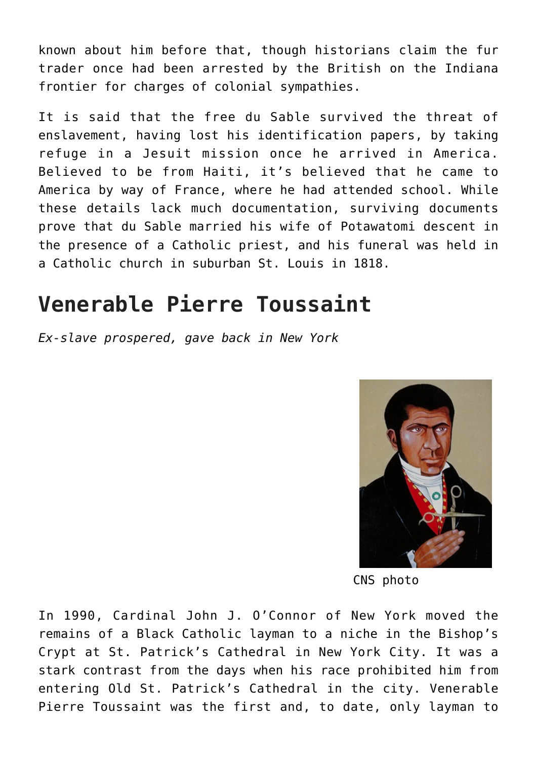known about him before that, though historians claim the fur trader once had been arrested by the British on the Indiana frontier for charges of colonial sympathies.

It is said that the free du Sable survived the threat of enslavement, having lost his identification papers, by taking refuge in a Jesuit mission once he arrived in America. Believed to be from Haiti, it's believed that he came to America by way of France, where he had attended school. While these details lack much documentation, surviving documents prove that du Sable married his wife of Potawatomi descent in the presence of a Catholic priest, and his funeral was held in a Catholic church in suburban St. Louis in 1818.

### **Venerable Pierre Toussaint**

*Ex-slave prospered, gave back in New York*



CNS photo

In 1990, Cardinal John J. O'Connor of New York moved the remains of a Black Catholic layman to a niche in the Bishop's Crypt at St. Patrick's Cathedral in New York City. It was a stark contrast from the days when his race prohibited him from entering Old St. Patrick's Cathedral in the city. Venerable Pierre Toussaint was the first and, to date, only layman to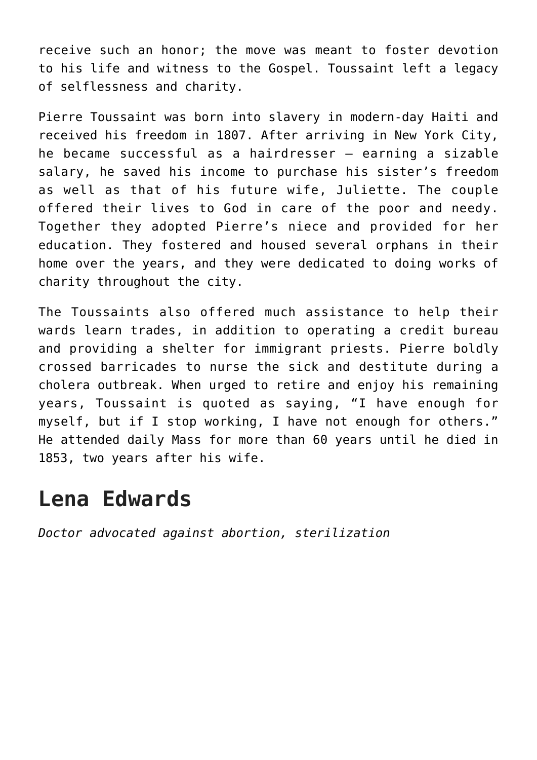receive such an honor; the move was meant to foster devotion to his life and witness to the Gospel. Toussaint left a legacy of selflessness and charity.

Pierre Toussaint was born into slavery in modern-day Haiti and received his freedom in 1807. After arriving in New York City, he became successful as a hairdresser — earning a sizable salary, he saved his income to purchase his sister's freedom as well as that of his future wife, Juliette. The couple offered their lives to God in care of the poor and needy. Together they adopted Pierre's niece and provided for her education. They fostered and housed several orphans in their home over the years, and they were dedicated to doing works of charity throughout the city.

The Toussaints also offered much assistance to help their wards learn trades, in addition to operating a credit bureau and providing a shelter for immigrant priests. Pierre boldly crossed barricades to nurse the sick and destitute during a cholera outbreak. When urged to retire and enjoy his remaining years, Toussaint is quoted as saying, "I have enough for myself, but if I stop working, I have not enough for others." He attended daily Mass for more than 60 years until he died in 1853, two years after his wife.

#### **Lena Edwards**

*Doctor advocated against abortion, sterilization*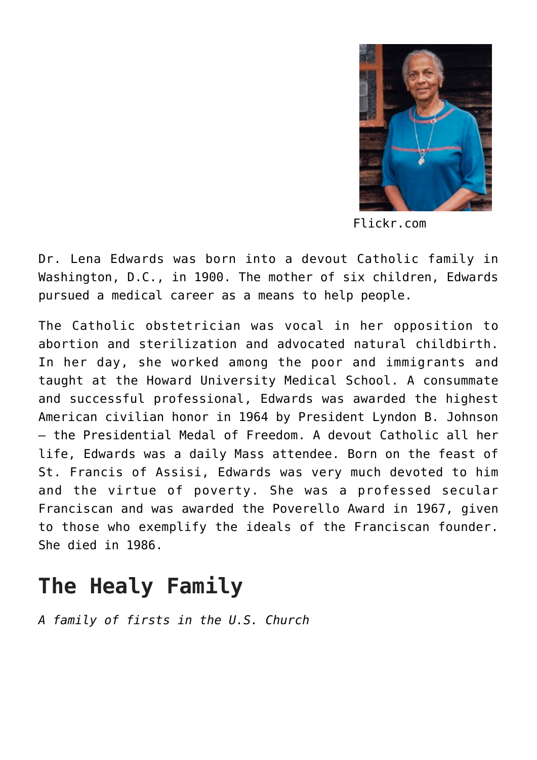

Flickr.com

Dr. Lena Edwards was born into a devout Catholic family in Washington, D.C., in 1900. The mother of six children, Edwards pursued a medical career as a means to help people.

The Catholic obstetrician was vocal in her opposition to abortion and sterilization and advocated natural childbirth. In her day, she worked among the poor and immigrants and taught at the Howard University Medical School. A consummate and successful professional, Edwards was awarded the highest American civilian honor in 1964 by President Lyndon B. Johnson — the Presidential Medal of Freedom. A devout Catholic all her life, Edwards was a daily Mass attendee. Born on the feast of St. Francis of Assisi, Edwards was very much devoted to him and the virtue of poverty. She was a professed secular Franciscan and was awarded the Poverello Award in 1967, given to those who exemplify the ideals of the Franciscan founder. She died in 1986.

# **The Healy Family**

*A family of firsts in the U.S. Church*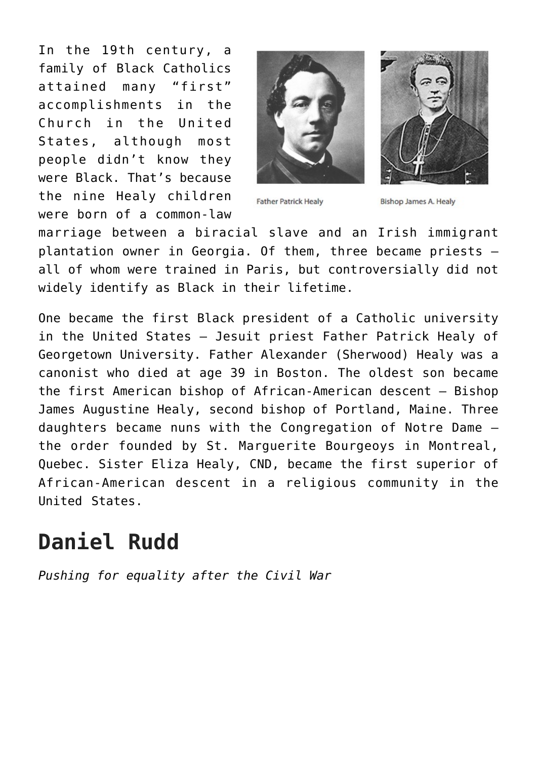In the 19th century, a family of Black Catholics attained many "first" accomplishments in the Church in the United States, although most people didn't know they were Black. That's because the nine Healy children were born of a common-law





**Father Patrick Healy** 

**Bishop James A. Healy** 

marriage between a biracial slave and an Irish immigrant plantation owner in Georgia. Of them, three became priests all of whom were trained in Paris, but controversially did not widely identify as Black in their lifetime.

One became the first Black president of a Catholic university in the United States — Jesuit priest Father Patrick Healy of Georgetown University. Father Alexander (Sherwood) Healy was a canonist who died at age 39 in Boston. The oldest son became the first American bishop of African-American descent — Bishop James Augustine Healy, second bishop of Portland, Maine. Three daughters became nuns with the Congregation of Notre Dame the order founded by St. Marguerite Bourgeoys in Montreal, Quebec. Sister Eliza Healy, CND, became the first superior of African-American descent in a religious community in the United States.

### **Daniel Rudd**

*Pushing for equality after the Civil War*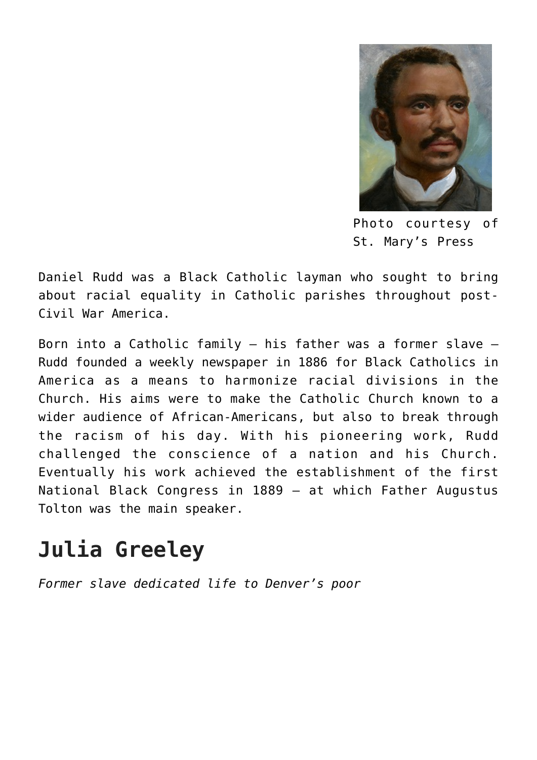

Photo courtesy of St. Mary's Press

Daniel Rudd was a Black Catholic layman who sought to bring about racial equality in Catholic parishes throughout post-Civil War America.

Born into a Catholic family — his father was a former slave — Rudd founded a weekly newspaper in 1886 for Black Catholics in America as a means to harmonize racial divisions in the Church. His aims were to make the Catholic Church known to a wider audience of African-Americans, but also to break through the racism of his day. With his pioneering work, Rudd challenged the conscience of a nation and his Church. Eventually his work achieved the establishment of the first National Black Congress in 1889 — at which Father Augustus Tolton was the main speaker.

# **Julia Greeley**

*Former slave dedicated life to Denver's poor*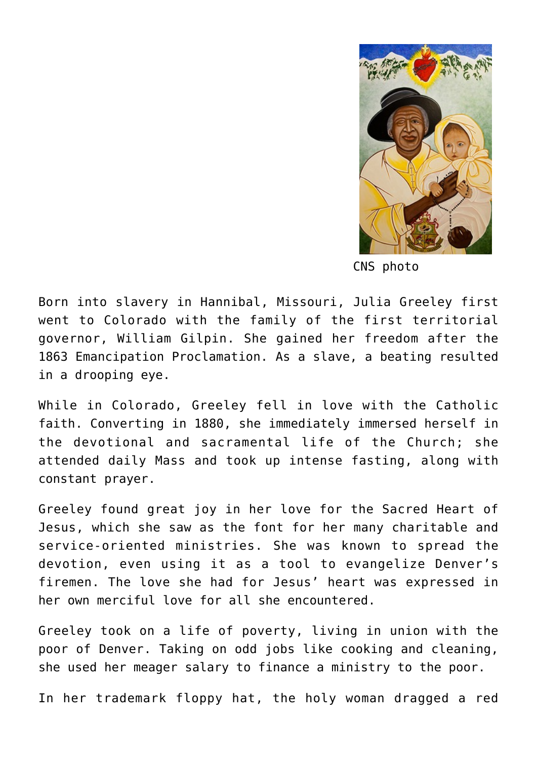

CNS photo

Born into slavery in Hannibal, Missouri, Julia Greeley first went to Colorado with the family of the first territorial governor, William Gilpin. She gained her freedom after the 1863 Emancipation Proclamation. As a slave, a beating resulted in a drooping eye.

While in Colorado, Greeley fell in love with the Catholic faith. Converting in 1880, she immediately immersed herself in the devotional and sacramental life of the Church; she attended daily Mass and took up intense fasting, along with constant prayer.

Greeley found great joy in her love for the Sacred Heart of Jesus, which she saw as the font for her many charitable and service-oriented ministries. She was known to spread the devotion, even using it as a tool to evangelize Denver's firemen. The love she had for Jesus' heart was expressed in her own merciful love for all she encountered.

Greeley took on a life of poverty, living in union with the poor of Denver. Taking on odd jobs like cooking and cleaning, she used her meager salary to finance a ministry to the poor.

In her trademark floppy hat, the holy woman dragged a red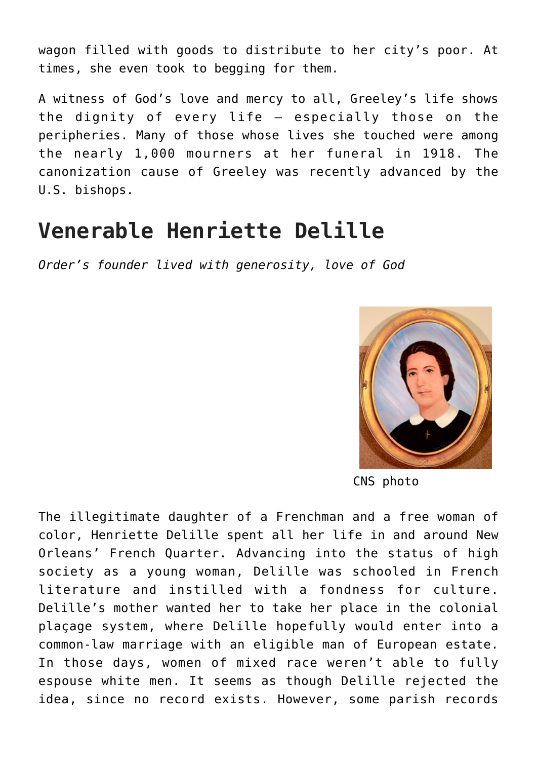wagon filled with goods to distribute to her city's poor. At times, she even took to begging for them.

A witness of God's love and mercy to all, Greeley's life shows the dignity of every life — especially those on the peripheries. Many of those whose lives she touched were among the nearly 1,000 mourners at her funeral in 1918. The canonization cause of Greeley was recently advanced by the U.S. bishops.

### **Venerable Henriette Delille**

*Order's founder lived with generosity, love of God*



CNS photo

The illegitimate daughter of a Frenchman and a free woman of color, Henriette Delille spent all her life in and around New Orleans' French Quarter. Advancing into the status of high society as a young woman, Delille was schooled in French literature and instilled with a fondness for culture. Delille's mother wanted her to take her place in the colonial plaçage system, where Delille hopefully would enter into a common-law marriage with an eligible man of European estate. In those days, women of mixed race weren't able to fully espouse white men. It seems as though Delille rejected the idea, since no record exists. However, some parish records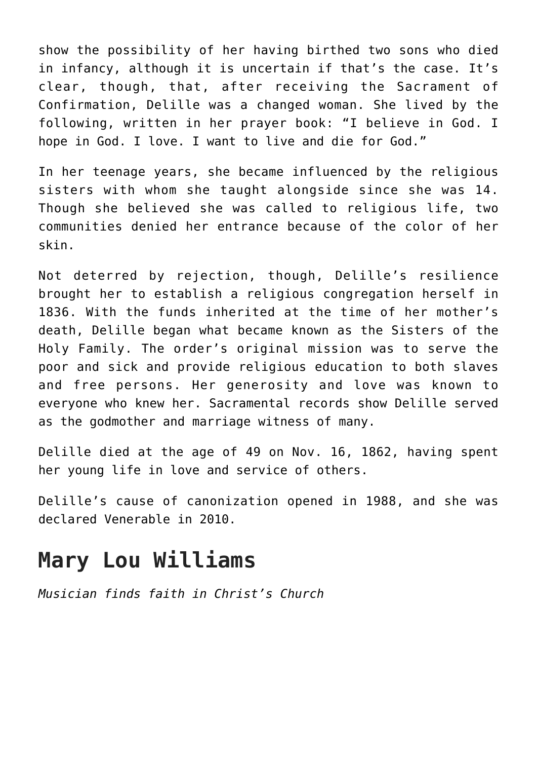show the possibility of her having birthed two sons who died in infancy, although it is uncertain if that's the case. It's clear, though, that, after receiving the Sacrament of Confirmation, Delille was a changed woman. She lived by the following, written in her prayer book: "I believe in God. I hope in God. I love. I want to live and die for God."

In her teenage years, she became influenced by the religious sisters with whom she taught alongside since she was 14. Though she believed she was called to religious life, two communities denied her entrance because of the color of her skin.

Not deterred by rejection, though, Delille's resilience brought her to establish a religious congregation herself in 1836. With the funds inherited at the time of her mother's death, Delille began what became known as the Sisters of the Holy Family. The order's original mission was to serve the poor and sick and provide religious education to both slaves and free persons. Her generosity and love was known to everyone who knew her. Sacramental records show Delille served as the godmother and marriage witness of many.

Delille died at the age of 49 on Nov. 16, 1862, having spent her young life in love and service of others.

Delille's cause of canonization opened in 1988, and she was declared Venerable in 2010.

#### **Mary Lou Williams**

*Musician finds faith in Christ's Church*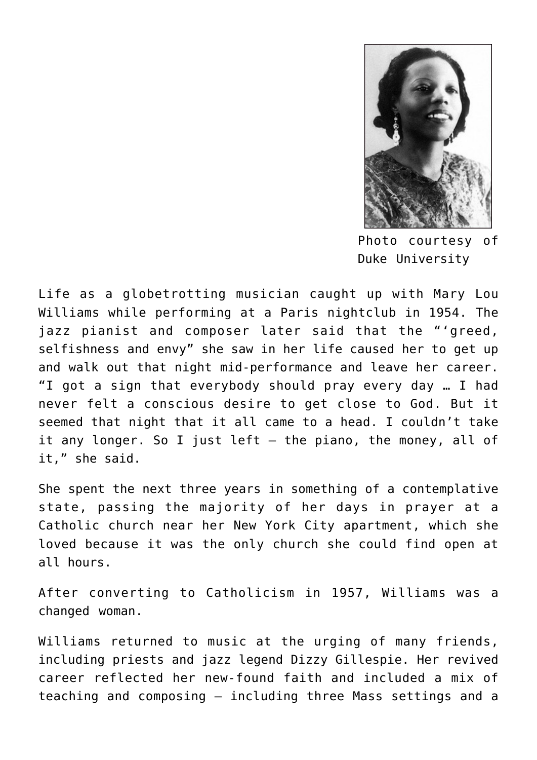

Photo courtesy of Duke University

Life as a globetrotting musician caught up with Mary Lou Williams while performing at a Paris nightclub in 1954. The jazz pianist and composer later said that the "'greed, selfishness and envy" she saw in her life caused her to get up and walk out that night mid-performance and leave her career. "I got a sign that everybody should pray every day … I had never felt a conscious desire to get close to God. But it seemed that night that it all came to a head. I couldn't take it any longer. So I just left  $-$  the piano, the money, all of it," she said.

She spent the next three years in something of a contemplative state, passing the majority of her days in prayer at a Catholic church near her New York City apartment, which she loved because it was the only church she could find open at all hours.

After converting to Catholicism in 1957, Williams was a changed woman.

Williams returned to music at the urging of many friends, including priests and jazz legend Dizzy Gillespie. Her revived career reflected her new-found faith and included a mix of teaching and composing — including three Mass settings and a